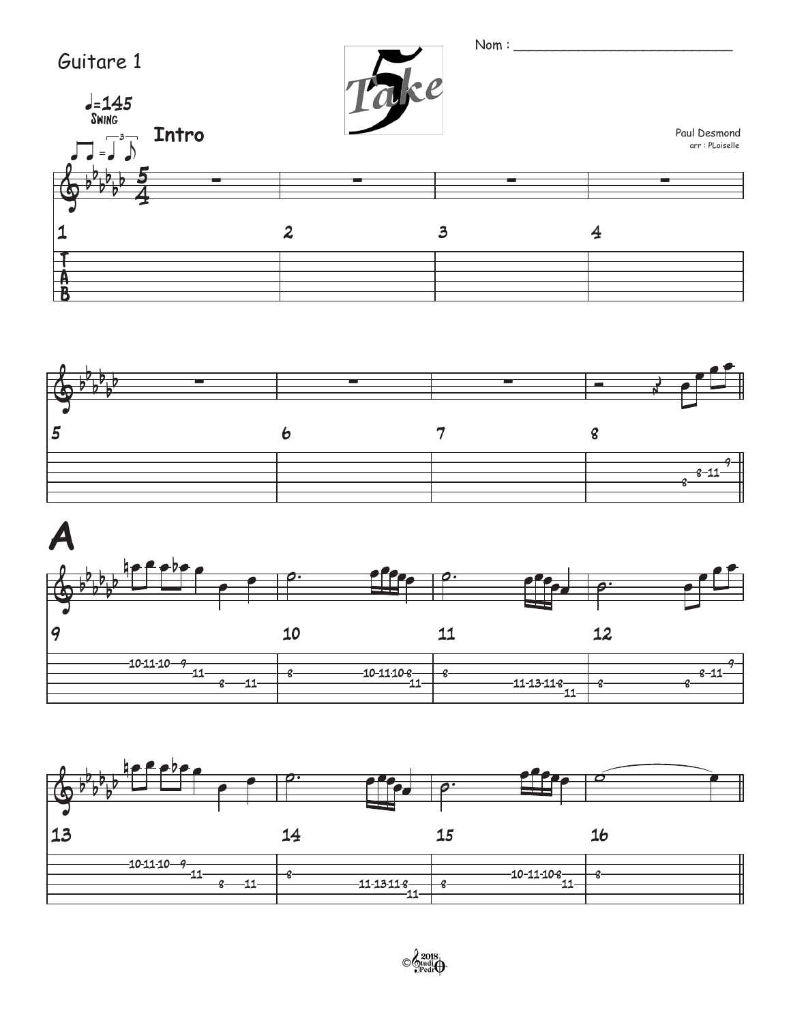





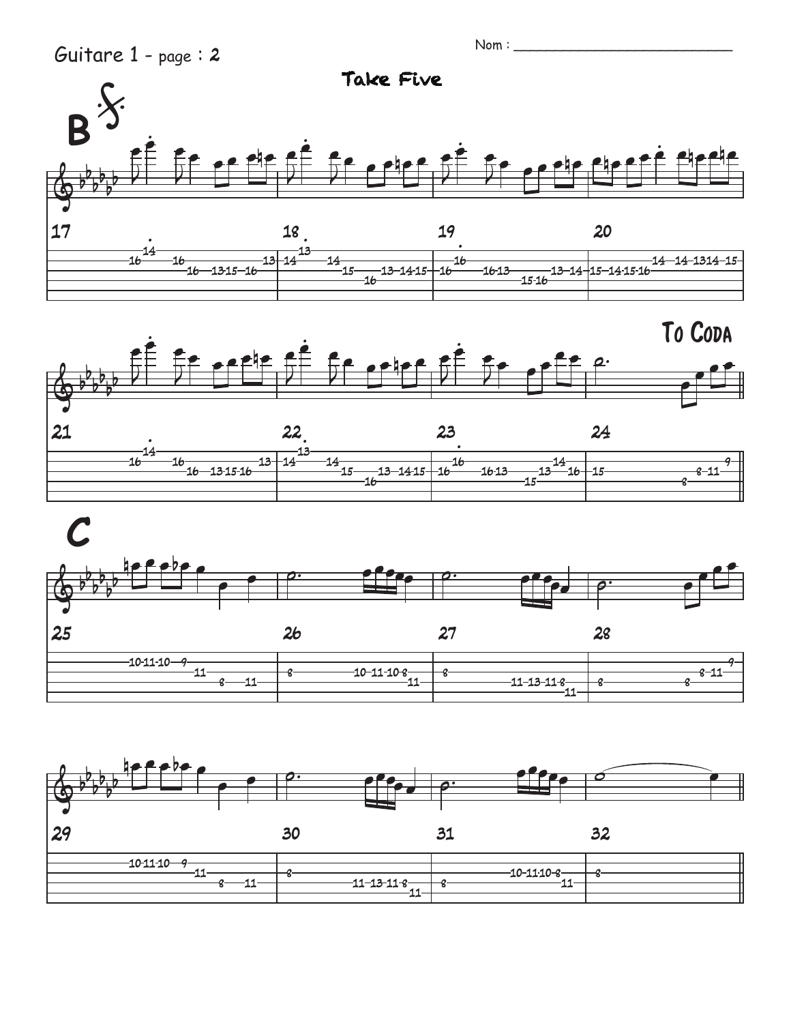$Nom:$ 







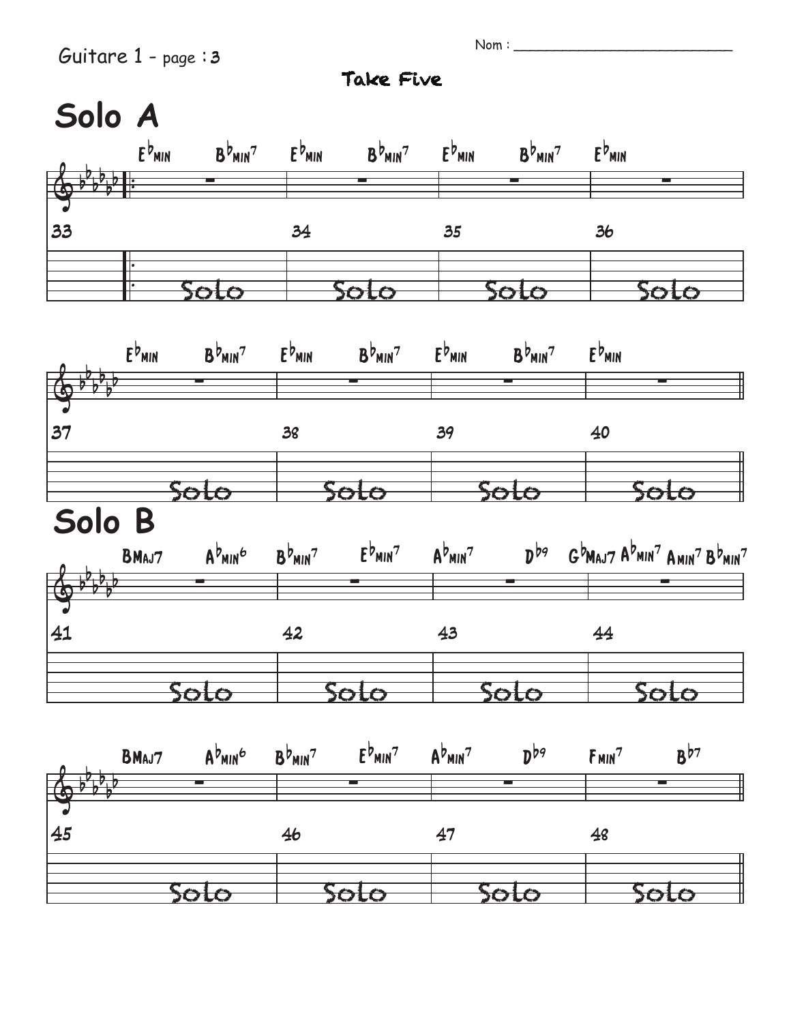Nom : \_\_\_\_\_\_\_\_\_\_\_\_\_\_\_\_\_\_\_\_\_\_\_\_\_\_\_

| $U$ urrur $U$ + puge $U$<br>Take Five |                       |                                                                                                                                              |                                    |                                               |                            |                            |                        |                                                                                                                                                                                                                                                                                                 |
|---------------------------------------|-----------------------|----------------------------------------------------------------------------------------------------------------------------------------------|------------------------------------|-----------------------------------------------|----------------------------|----------------------------|------------------------|-------------------------------------------------------------------------------------------------------------------------------------------------------------------------------------------------------------------------------------------------------------------------------------------------|
| Solo A                                |                       |                                                                                                                                              |                                    |                                               |                            |                            |                        |                                                                                                                                                                                                                                                                                                 |
|                                       | $E^{\frac{1}{p}}$ MIN | $B_{\mu}B_{\mu}B_{\nu}$ $E_{\mu}B_{\mu}B_{\mu}B_{\nu}$ $E_{\mu}B_{\mu}B_{\nu}$                                                               |                                    |                                               |                            | $B^b$ <sub>MIN</sub> 7     | $E^{\frac{1}{p}}$ MIN  |                                                                                                                                                                                                                                                                                                 |
| $\frac{1}{2}$                         |                       |                                                                                                                                              |                                    |                                               |                            |                            |                        | . .                                                                                                                                                                                                                                                                                             |
| 33                                    |                       |                                                                                                                                              | 34                                 |                                               | 35                         |                            | 36                     |                                                                                                                                                                                                                                                                                                 |
|                                       | $\vert \bullet$       | io Lo                                                                                                                                        | <del>joto</del>                    |                                               |                            |                            |                        |                                                                                                                                                                                                                                                                                                 |
|                                       | $E^{\frac{1}{p}}$ MIN | $\mathbf{B}^{\flat}$ min $^7$ E $^{\flat}$ min $\mathbf{B}^{\flat}$ min $^7$ E $^{\flat}$ min $\mathbf{B}^{\flat}$ min $^7$ E $^{\flat}$ min |                                    |                                               |                            |                            |                        |                                                                                                                                                                                                                                                                                                 |
| 37                                    |                       |                                                                                                                                              | 38                                 |                                               | 39                         |                            | 40                     |                                                                                                                                                                                                                                                                                                 |
|                                       | <u>soto</u>           |                                                                                                                                              | O<br>LÕ                            |                                               | <del>jOL</del>             |                            |                        |                                                                                                                                                                                                                                                                                                 |
| Solo B                                |                       |                                                                                                                                              |                                    |                                               |                            |                            |                        |                                                                                                                                                                                                                                                                                                 |
|                                       | <b>BMAJ7</b>          | Ab <sub>min</sub> g                                                                                                                          |                                    |                                               |                            |                            |                        | $B_{\mu}B_{\mu}B_{\mu}$ <sup>7</sup> E <sup>b</sup> <sub>MIN</sub> <sup>7</sup> A <sup>b</sup> <sub>MIN</sub> <sup>7</sup> D <sup>b9</sup> G <sup>b</sup> M <sub>AJ</sub> 7 A <sup>b</sup> <sub>MIN</sub> <sup>7</sup> A <sub>MIN</sub> <sup>7</sup> B <sup>b</sup> <sub>MIN</sub> <sup>7</sup> |
|                                       |                       |                                                                                                                                              |                                    |                                               |                            |                            |                        |                                                                                                                                                                                                                                                                                                 |
| 41                                    |                       |                                                                                                                                              | 42                                 |                                               | 43                         |                            | 44                     |                                                                                                                                                                                                                                                                                                 |
|                                       | <u>Soto</u>           |                                                                                                                                              | <u>Solo</u>                        |                                               | <u>Solo</u>                |                            | <u>Soto</u>            |                                                                                                                                                                                                                                                                                                 |
|                                       | <b>BMAJ7</b>          | $A^{b}$ <sub>MIN</sub> $6$                                                                                                                   | $B^{\frac{1}{p}}$ MIN <sup>7</sup> | $E^{\frac{1}{2}}$ <sub>MIN</sub> <sup>7</sup> | $A^{b}$ <sub>MIN</sub> $7$ | $\mathbf{D}^{\mathsf{bq}}$ | $F$ <sub>MIN</sub> $7$ | $B^{b7}$                                                                                                                                                                                                                                                                                        |
| 45                                    |                       |                                                                                                                                              | 46                                 |                                               | 47                         |                            | 48                     |                                                                                                                                                                                                                                                                                                 |
| <u>Soto</u>                           |                       |                                                                                                                                              | <u>soto</u>                        |                                               | <u>soto</u>                |                            | <u>soto</u>            |                                                                                                                                                                                                                                                                                                 |